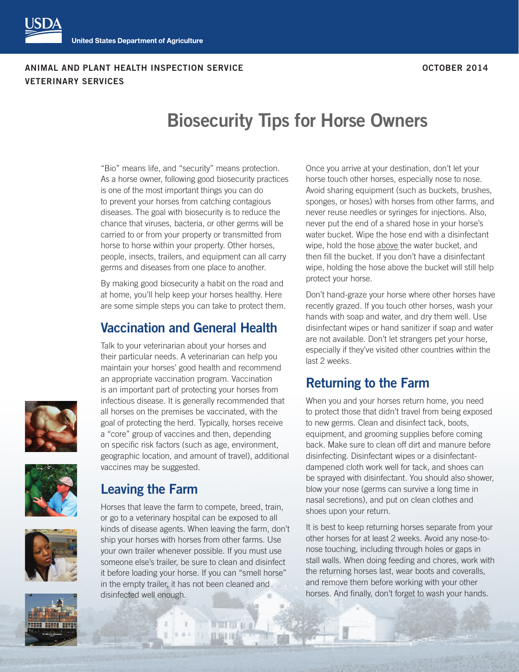#### **ANIMAL AND PLANT HEALTH INSPECTION SERVICE OCTOBER 2014 VETERINARY SERVICES**

# **Biosecurity Tips for Horse Owners**

"Bio" means life, and "security" means protection. As a horse owner, following good biosecurity practices is one of the most important things you can do to prevent your horses from catching contagious diseases. The goal with biosecurity is to reduce the chance that viruses, bacteria, or other germs will be carried to or from your property or transmitted from horse to horse within your property. Other horses, people, insects, trailers, and equipment can all carry germs and diseases from one place to another.

By making good biosecurity a habit on the road and at home, you'll help keep your horses healthy. Here are some simple steps you can take to protect them.

#### **Vaccination and General Health**

Talk to your veterinarian about your horses and their particular needs. A veterinarian can help you maintain your horses' good health and recommend an appropriate vaccination program. Vaccination is an important part of protecting your horses from infectious disease. It is generally recommended that all horses on the premises be vaccinated, with the goal of protecting the herd. Typically, horses receive a "core" group of vaccines and then, depending on specific risk factors (such as age, environment, geographic location, and amount of travel), additional vaccines may be suggested.







Horses that leave the farm to compete, breed, train, or go to a veterinary hospital can be exposed to all kinds of disease agents. When leaving the farm, don't ship your horses with horses from other farms. Use your own trailer whenever possible. If you must use someone else's trailer, be sure to clean and disinfect it before loading your horse. If you can "smell horse" in the empty trailer, it has not been cleaned and disinfected well enough.

且度日语



Don't hand-graze your horse where other horses have recently grazed. If you touch other horses, wash your hands with soap and water, and dry them well. Use disinfectant wipes or hand sanitizer if soap and water are not available. Don't let strangers pet your horse, especially if they've visited other countries within the last 2 weeks.

#### **Returning to the Farm**

When you and your horses return home, you need to protect those that didn't travel from being exposed to new germs. Clean and disinfect tack, boots, equipment, and grooming supplies before coming back. Make sure to clean off dirt and manure before disinfecting. Disinfectant wipes or a disinfectantdampened cloth work well for tack, and shoes can be sprayed with disinfectant. You should also shower, blow your nose (germs can survive a long time in nasal secretions), and put on clean clothes and shoes upon your return.

It is best to keep returning horses separate from your other horses for at least 2 weeks. Avoid any nose-tonose touching, including through holes or gaps in stall walls. When doing feeding and chores, work with the returning horses last, wear boots and coveralls, and remove them before working with your other horses. And finally, don't forget to wash your hands.

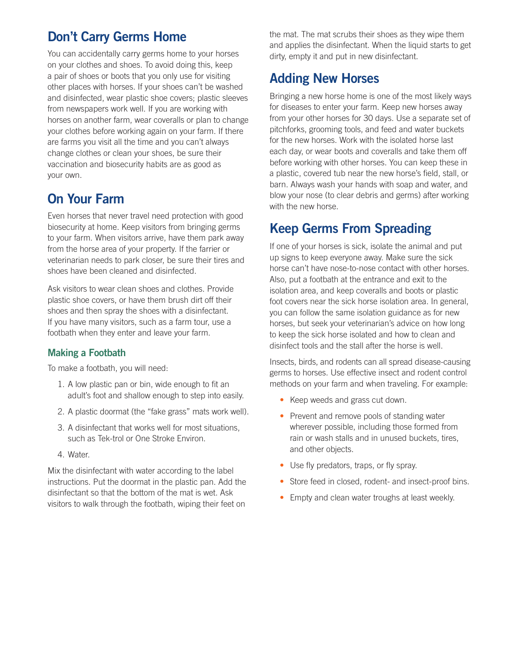#### **Don't Carry Germs Home**

You can accidentally carry germs home to your horses on your clothes and shoes. To avoid doing this, keep a pair of shoes or boots that you only use for visiting other places with horses. If your shoes can't be washed and disinfected, wear plastic shoe covers; plastic sleeves from newspapers work well. If you are working with horses on another farm, wear coveralls or plan to change your clothes before working again on your farm. If there are farms you visit all the time and you can't always change clothes or clean your shoes, be sure their vaccination and biosecurity habits are as good as your own.

### **On Your Farm**

Even horses that never travel need protection with good biosecurity at home. Keep visitors from bringing germs to your farm. When visitors arrive, have them park away from the horse area of your property. If the farrier or veterinarian needs to park closer, be sure their tires and shoes have been cleaned and disinfected.

Ask visitors to wear clean shoes and clothes. Provide plastic shoe covers, or have them brush dirt off their shoes and then spray the shoes with a disinfectant. If you have many visitors, such as a farm tour, use a footbath when they enter and leave your farm.

#### **Making a Footbath**

To make a footbath, you will need:

- 1. A low plastic pan or bin, wide enough to fit an adult's foot and shallow enough to step into easily.
- 2. A plastic doormat (the "fake grass" mats work well).
- 3. A disinfectant that works well for most situations, such as Tek-trol or One Stroke Environ.
- 4. Water.

Mix the disinfectant with water according to the label instructions. Put the doormat in the plastic pan. Add the disinfectant so that the bottom of the mat is wet. Ask visitors to walk through the footbath, wiping their feet on

the mat. The mat scrubs their shoes as they wipe them and applies the disinfectant. When the liquid starts to get dirty, empty it and put in new disinfectant.

### **Adding New Horses**

Bringing a new horse home is one of the most likely ways for diseases to enter your farm. Keep new horses away from your other horses for 30 days. Use a separate set of pitchforks, grooming tools, and feed and water buckets for the new horses. Work with the isolated horse last each day, or wear boots and coveralls and take them off before working with other horses. You can keep these in a plastic, covered tub near the new horse's field, stall, or barn. Always wash your hands with soap and water, and blow your nose (to clear debris and germs) after working with the new horse.

## **Keep Germs From Spreading**

If one of your horses is sick, isolate the animal and put up signs to keep everyone away. Make sure the sick horse can't have nose-to-nose contact with other horses. Also, put a footbath at the entrance and exit to the isolation area, and keep coveralls and boots or plastic foot covers near the sick horse isolation area. In general, you can follow the same isolation guidance as for new horses, but seek your veterinarian's advice on how long to keep the sick horse isolated and how to clean and disinfect tools and the stall after the horse is well.

Insects, birds, and rodents can all spread disease-causing germs to horses. Use effective insect and rodent control methods on your farm and when traveling. For example:

- Keep weeds and grass cut down.
- Prevent and remove pools of standing water wherever possible, including those formed from rain or wash stalls and in unused buckets, tires, and other objects.
- Use fly predators, traps, or fly spray.
- Store feed in closed, rodent- and insect-proof bins.
- Empty and clean water troughs at least weekly.